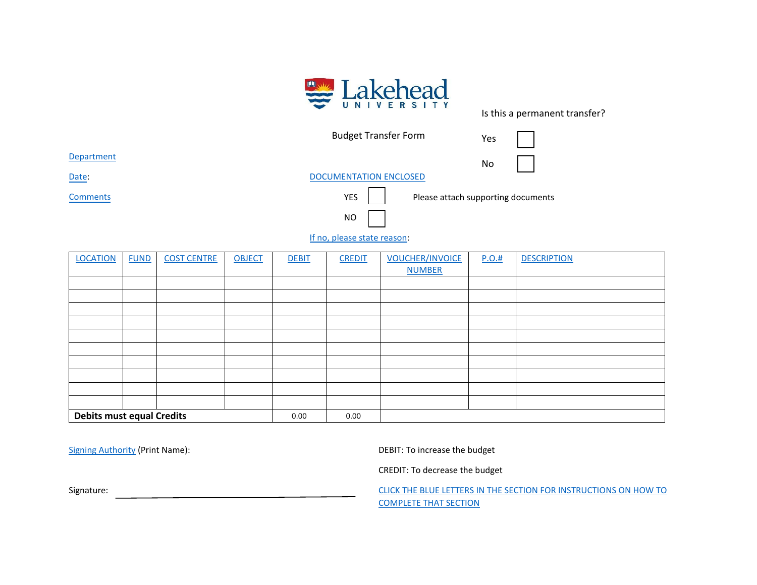

Is this a permanent transfer?

Budget Transfer Form

Yes

<span id="page-0-0"></span>**[Department](#page-1-0)** 

[Date:](#page-1-1) Date: [DOCUMENTATION ENCLOSED](#page-1-2)



[Comments](#page-1-3) **Comments Comments Please attach supporting documents** 

No

[If no, please state reason:](#page-1-4)

| <b>LOCATION</b>                  | <b>FUND</b> | <b>COST CENTRE</b> | <b>OBJECT</b> | <b>DEBIT</b> | <b>CREDIT</b> | <b>VOUCHER/INVOICE</b> | P.O.# | <b>DESCRIPTION</b> |
|----------------------------------|-------------|--------------------|---------------|--------------|---------------|------------------------|-------|--------------------|
|                                  |             |                    |               |              |               | <b>NUMBER</b>          |       |                    |
|                                  |             |                    |               |              |               |                        |       |                    |
|                                  |             |                    |               |              |               |                        |       |                    |
|                                  |             |                    |               |              |               |                        |       |                    |
|                                  |             |                    |               |              |               |                        |       |                    |
|                                  |             |                    |               |              |               |                        |       |                    |
|                                  |             |                    |               |              |               |                        |       |                    |
|                                  |             |                    |               |              |               |                        |       |                    |
|                                  |             |                    |               |              |               |                        |       |                    |
|                                  |             |                    |               |              |               |                        |       |                    |
|                                  |             |                    |               |              |               |                        |       |                    |
| <b>Debits must equal Credits</b> |             |                    |               | 0.00         | 0.00          |                        |       |                    |

[Signing Authority](#page-1-12) (Print Name): Signing Authority (Print Name): DEBIT: To increase the budget

CREDIT: To decrease the budget

Signature: CLICK THE BLUE LETTERS IN THE SECTION FOR INSTRUCTIONS ON HOW TO [COMPLETE THAT SECTION](#page-1-13)